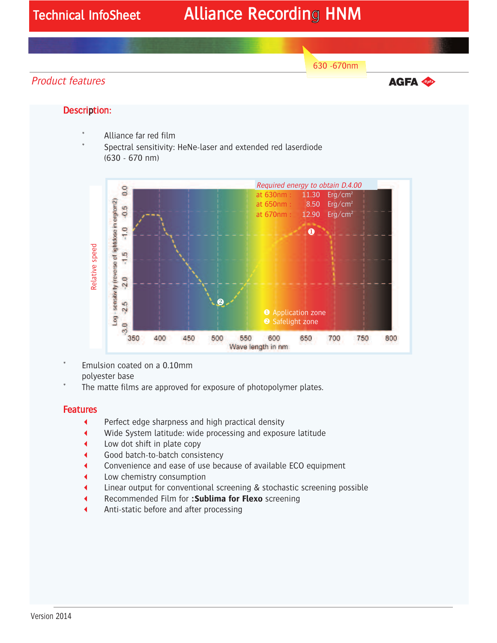# Technical InfoSheet Alliance Recording HNM

630 -670nm

### Product features

**AGFA Agro** 

### Description:

- Alliance far red film
- Spectral sensitivity: HeNe-laser and extended red laserdiode (630 - 670 nm)



- Emulsion coated on a 0.10mm polyester base
- The matte films are approved for exposure of photopolymer plates.

#### **Features**

- $\blacktriangleleft$ Perfect edge sharpness and high practical density
- $\blacktriangleleft$ Wide System latitude: wide processing and exposure latitude
- $\overline{\bullet}$ Low dot shift in plate copy
- $\overline{\bullet}$ Good batch-to-batch consistency
- $\blacktriangleleft$ Convenience and ease of use because of available ECO equipment
- $\blacktriangleleft$ Low chemistry consumption
- $\blacktriangleleft$ Linear output for conventional screening & stochastic screening possible
- $\blacktriangleleft$ Recommended Film for **:Sublima for Flexo** screening
- $\blacktriangleleft$ Anti-static before and after processing